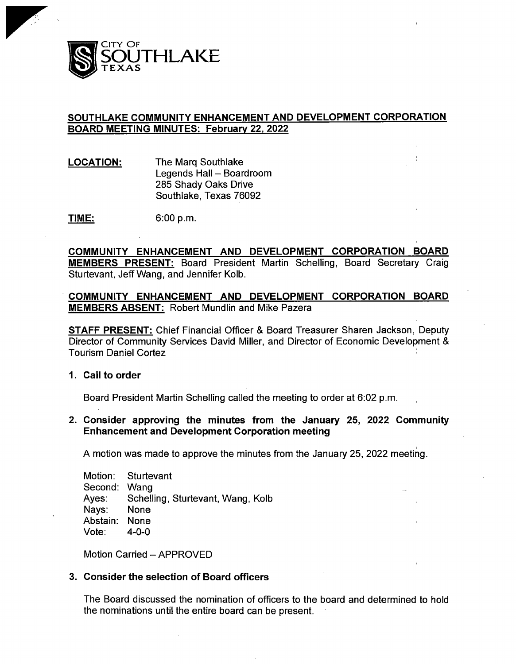

# SOUTHLAKE COMMUNITY ENHANCEMENT AND DEVELOPMENT CORPORATION BOARD MEETING MINUTES: February 22, 2022

LOCATION: The Marq Southlake Legends Hall — Boardroom 285 Shady Oaks Drive Southlake, Texas 76092

**TIME:** 6:00 p.m.

COMMUNITY ENHANCEMENT AND DEVELOPMENT CORPORATION BOARD MEMBERS PRESENT: Board President Martin Schelling, Board Secretary Craig Sturtevant, Jeff Wang, and Jennifer Kolb.

COMMUNITY ENHANCEMENT AND DEVELOPMENT CORPORATION BOARD MEMBERS ABSENT: Robert Mundlin and Mike Pazera

STAFF PRESENT: Chief Financial Officer & Board Treasurer Sharen Jackson, Deputy Director of Community Services David Miller, and Director of Economic Development & Tourism Daniel Cortez

#### 1. Call to order

Board President Martin Schelling called the meeting to order at 6:02 p.m.

## 2. Consider approving the minutes from the January 25, 2022 Community Enhancement and Development Corporation meeting

A motion was made to approve the minutes from the January 25, 2022 meeting.

Motion: Sturtevant Second: Wang<br>Ayes: Schell Schelling, Sturtevant, Wang, Kolb<br>None Nays: Abstain: None Vote:  $4-0-0$ 

Motion Carried — APPROVED

### 3. Consider the selection of Board officers

The Board discussed the nomination of officers to the board and determined to hold the nominations until the entire board can be present.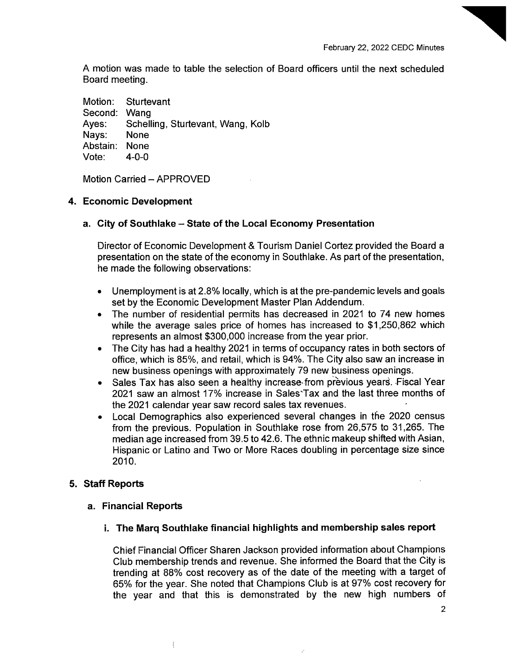A motion was made to table the selection of Board officers until the next scheduled Board meeting.

Motion: Sturtevant Second: Wang<br>Aves: Schell Schelling, Sturtevant, Wang, Kolb<br>None Navs: Abstain: None Vote: 4-0-0

Motion Carried — APPROVED

### 4. Economic Development

### a. City of Southlake— State of the Local Economy Presentation

Director of Economic Development& Tourism Daniel Cortez provided the Board <sup>a</sup> presentation on the state of the economy in Southlake. As part of the presentation, he made the following observations:

- Unemployment is at 2. 8% locally, which is at the pre-pandemic levels and goals set by the Economic Development Master Plan Addendum.
- The number of residential permits has decreased in 2021 to 74 new homes while the average sales price of homes has increased to \$1,250,862 which represents an almost \$300,000 increase from the year prior.
- The City has had a healthy 2021 in terms of occupancy rates in both sectors of office, which is 85%, and retail, which is 94%. The City also saw an increase in new business openings with approximately 79 new business openings.
- Sales Tax has also seen a healthy increase from previous years. Fiscal Year 2021 saw an almost 17% increase in Sales' Tax and the last three months of the 2021 calendar year saw record sales tax revenues.
- Local Demographics also experienced several changes in the 2020 census from the previous. Population in Southlake rose from 26,575 to 31, 265. The median age increased from 39.5 to 42.6. The ethnic makeup shifted with Asian, Hispanic or Latino and Two or More Races doubling in percentage size since 2010.

## 5. Staff Reports

#### a. Financial Reports

 $\overline{1}$ 

# i. The Marq Southlake financial highlights and membership sales report

Chief Financial Officer Sharen Jackson provided information about Champions Club membership trends and revenue. She informed the Board that the City is trending at 88% cost recovery as of the date of the meeting with a target of 65% for the year. She noted that Champions Club is at 97% cost recovery for the year and that this is demonstrated by the new high numbers of

2